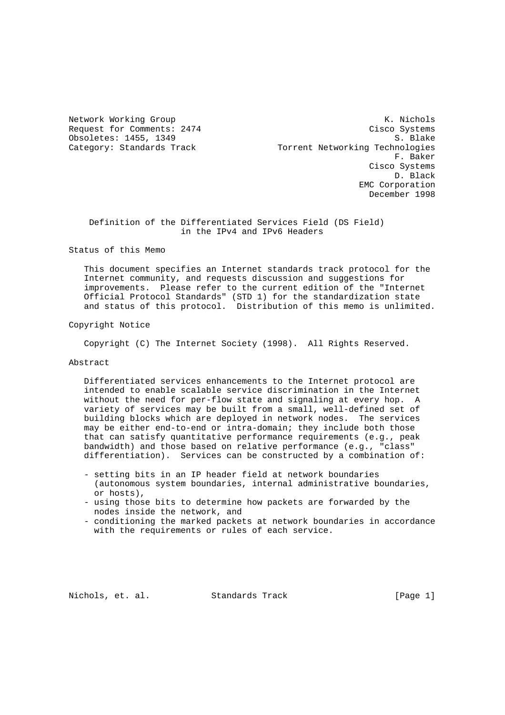Network Working Group **K. Nichols** Request for Comments: 2474 Cisco Systems Obsoletes: 1455, 1349 S. Blake Category: Standards Track Torrent Networking Technologies F. Baker Cisco Systems D. Black EMC Corporation December 1998

 Definition of the Differentiated Services Field (DS Field) in the IPv4 and IPv6 Headers

Status of this Memo

 This document specifies an Internet standards track protocol for the Internet community, and requests discussion and suggestions for improvements. Please refer to the current edition of the "Internet Official Protocol Standards" (STD 1) for the standardization state and status of this protocol. Distribution of this memo is unlimited.

Copyright Notice

Copyright (C) The Internet Society (1998). All Rights Reserved.

Abstract

 Differentiated services enhancements to the Internet protocol are intended to enable scalable service discrimination in the Internet without the need for per-flow state and signaling at every hop. A variety of services may be built from a small, well-defined set of building blocks which are deployed in network nodes. The services may be either end-to-end or intra-domain; they include both those that can satisfy quantitative performance requirements (e.g., peak bandwidth) and those based on relative performance (e.g., "class" differentiation). Services can be constructed by a combination of:

- setting bits in an IP header field at network boundaries (autonomous system boundaries, internal administrative boundaries, or hosts),
- using those bits to determine how packets are forwarded by the nodes inside the network, and
- conditioning the marked packets at network boundaries in accordance with the requirements or rules of each service.

Nichols, et. al. Standards Track [Page 1]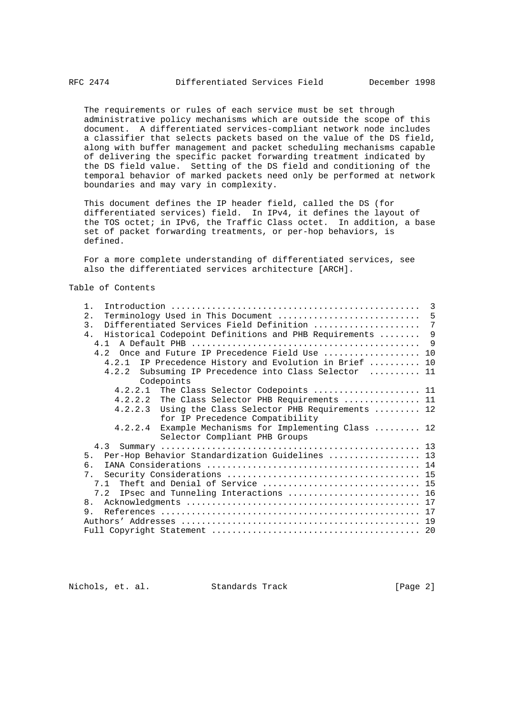The requirements or rules of each service must be set through administrative policy mechanisms which are outside the scope of this document. A differentiated services-compliant network node includes a classifier that selects packets based on the value of the DS field, along with buffer management and packet scheduling mechanisms capable of delivering the specific packet forwarding treatment indicated by the DS field value. Setting of the DS field and conditioning of the temporal behavior of marked packets need only be performed at network boundaries and may vary in complexity.

 This document defines the IP header field, called the DS (for differentiated services) field. In IPv4, it defines the layout of the TOS octet; in IPv6, the Traffic Class octet. In addition, a base set of packet forwarding treatments, or per-hop behaviors, is defined.

 For a more complete understanding of differentiated services, see also the differentiated services architecture [ARCH].

Table of Contents

| $1$ .                                                    |     |
|----------------------------------------------------------|-----|
| 2.1                                                      |     |
| $\overline{3}$ .                                         |     |
| 4. Historical Codepoint Definitions and PHB Requirements | 9   |
|                                                          | - 9 |
| 4.2 Once and Future IP Precedence Field Use  10          |     |
| 4.2.1 IP Precedence History and Evolution in Brief  10   |     |
| 4.2.2 Subsuming IP Precedence into Class Selector  11    |     |
| Codepoints                                               |     |
| 4.2.2.1 The Class Selector Codepoints  11                |     |
| 4.2.2.2 The Class Selector PHB Requirements  11          |     |
| 4.2.2.3 Using the Class Selector PHB Requirements  12    |     |
| for IP Precedence Compatibility                          |     |
| 4.2.2.4 Example Mechanisms for Implementing Class  12    |     |
| Selector Compliant PHB Groups                            |     |
|                                                          |     |
| 5. Per-Hop Behavior Standardization Guidelines  13       |     |
| რ —                                                      |     |
|                                                          |     |
| 7.1 Theft and Denial of Service  15                      |     |
| 7.2 IPsec and Tunneling Interactions  16                 |     |
| 8 <sub>1</sub>                                           |     |
| 9                                                        |     |
|                                                          |     |
|                                                          |     |

Nichols, et. al. Standards Track [Page 2]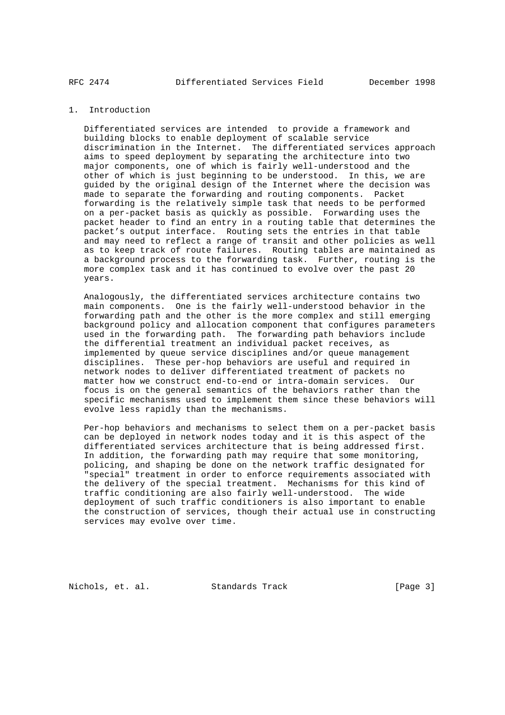## 1. Introduction

 Differentiated services are intended to provide a framework and building blocks to enable deployment of scalable service discrimination in the Internet. The differentiated services approach aims to speed deployment by separating the architecture into two major components, one of which is fairly well-understood and the other of which is just beginning to be understood. In this, we are guided by the original design of the Internet where the decision was made to separate the forwarding and routing components. Packet forwarding is the relatively simple task that needs to be performed on a per-packet basis as quickly as possible. Forwarding uses the packet header to find an entry in a routing table that determines the packet's output interface. Routing sets the entries in that table and may need to reflect a range of transit and other policies as well as to keep track of route failures. Routing tables are maintained as a background process to the forwarding task. Further, routing is the more complex task and it has continued to evolve over the past 20 years.

 Analogously, the differentiated services architecture contains two main components. One is the fairly well-understood behavior in the forwarding path and the other is the more complex and still emerging background policy and allocation component that configures parameters used in the forwarding path. The forwarding path behaviors include the differential treatment an individual packet receives, as implemented by queue service disciplines and/or queue management disciplines. These per-hop behaviors are useful and required in network nodes to deliver differentiated treatment of packets no matter how we construct end-to-end or intra-domain services. Our focus is on the general semantics of the behaviors rather than the specific mechanisms used to implement them since these behaviors will evolve less rapidly than the mechanisms.

 Per-hop behaviors and mechanisms to select them on a per-packet basis can be deployed in network nodes today and it is this aspect of the differentiated services architecture that is being addressed first. In addition, the forwarding path may require that some monitoring, policing, and shaping be done on the network traffic designated for "special" treatment in order to enforce requirements associated with the delivery of the special treatment. Mechanisms for this kind of traffic conditioning are also fairly well-understood. The wide deployment of such traffic conditioners is also important to enable the construction of services, though their actual use in constructing services may evolve over time.

Nichols, et. al. Standards Track [Page 3]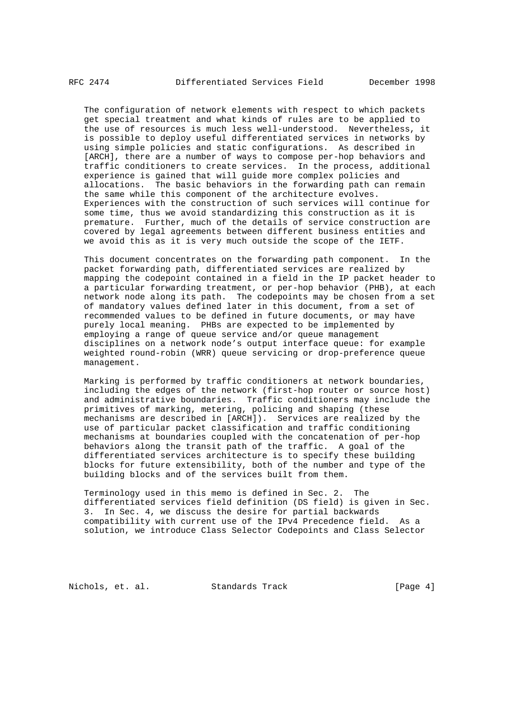The configuration of network elements with respect to which packets get special treatment and what kinds of rules are to be applied to the use of resources is much less well-understood. Nevertheless, it is possible to deploy useful differentiated services in networks by using simple policies and static configurations. As described in [ARCH], there are a number of ways to compose per-hop behaviors and traffic conditioners to create services. In the process, additional experience is gained that will guide more complex policies and allocations. The basic behaviors in the forwarding path can remain the same while this component of the architecture evolves. Experiences with the construction of such services will continue for some time, thus we avoid standardizing this construction as it is premature. Further, much of the details of service construction are covered by legal agreements between different business entities and we avoid this as it is very much outside the scope of the IETF.

 This document concentrates on the forwarding path component. In the packet forwarding path, differentiated services are realized by mapping the codepoint contained in a field in the IP packet header to a particular forwarding treatment, or per-hop behavior (PHB), at each network node along its path. The codepoints may be chosen from a set of mandatory values defined later in this document, from a set of recommended values to be defined in future documents, or may have purely local meaning. PHBs are expected to be implemented by employing a range of queue service and/or queue management disciplines on a network node's output interface queue: for example weighted round-robin (WRR) queue servicing or drop-preference queue management.

 Marking is performed by traffic conditioners at network boundaries, including the edges of the network (first-hop router or source host) and administrative boundaries. Traffic conditioners may include the primitives of marking, metering, policing and shaping (these mechanisms are described in [ARCH]). Services are realized by the use of particular packet classification and traffic conditioning mechanisms at boundaries coupled with the concatenation of per-hop behaviors along the transit path of the traffic. A goal of the differentiated services architecture is to specify these building blocks for future extensibility, both of the number and type of the building blocks and of the services built from them.

 Terminology used in this memo is defined in Sec. 2. The differentiated services field definition (DS field) is given in Sec. 3. In Sec. 4, we discuss the desire for partial backwards compatibility with current use of the IPv4 Precedence field. As a solution, we introduce Class Selector Codepoints and Class Selector

Nichols, et. al. Standards Track [Page 4]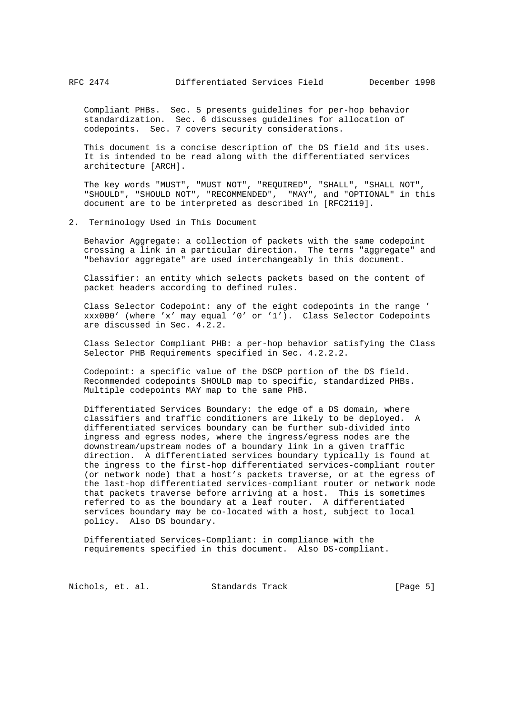Compliant PHBs. Sec. 5 presents guidelines for per-hop behavior standardization. Sec. 6 discusses guidelines for allocation of codepoints. Sec. 7 covers security considerations.

 This document is a concise description of the DS field and its uses. It is intended to be read along with the differentiated services architecture [ARCH].

 The key words "MUST", "MUST NOT", "REQUIRED", "SHALL", "SHALL NOT", "SHOULD", "SHOULD NOT", "RECOMMENDED", "MAY", and "OPTIONAL" in this document are to be interpreted as described in [RFC2119].

#### 2. Terminology Used in This Document

 Behavior Aggregate: a collection of packets with the same codepoint crossing a link in a particular direction. The terms "aggregate" and "behavior aggregate" are used interchangeably in this document.

 Classifier: an entity which selects packets based on the content of packet headers according to defined rules.

 Class Selector Codepoint: any of the eight codepoints in the range ' xxx000' (where 'x' may equal '0' or '1'). Class Selector Codepoints are discussed in Sec. 4.2.2.

 Class Selector Compliant PHB: a per-hop behavior satisfying the Class Selector PHB Requirements specified in Sec. 4.2.2.2.

 Codepoint: a specific value of the DSCP portion of the DS field. Recommended codepoints SHOULD map to specific, standardized PHBs. Multiple codepoints MAY map to the same PHB.

 Differentiated Services Boundary: the edge of a DS domain, where classifiers and traffic conditioners are likely to be deployed. A differentiated services boundary can be further sub-divided into ingress and egress nodes, where the ingress/egress nodes are the downstream/upstream nodes of a boundary link in a given traffic direction. A differentiated services boundary typically is found at the ingress to the first-hop differentiated services-compliant router (or network node) that a host's packets traverse, or at the egress of the last-hop differentiated services-compliant router or network node that packets traverse before arriving at a host. This is sometimes referred to as the boundary at a leaf router. A differentiated services boundary may be co-located with a host, subject to local policy. Also DS boundary.

 Differentiated Services-Compliant: in compliance with the requirements specified in this document. Also DS-compliant.

Nichols, et. al. Standards Track [Page 5]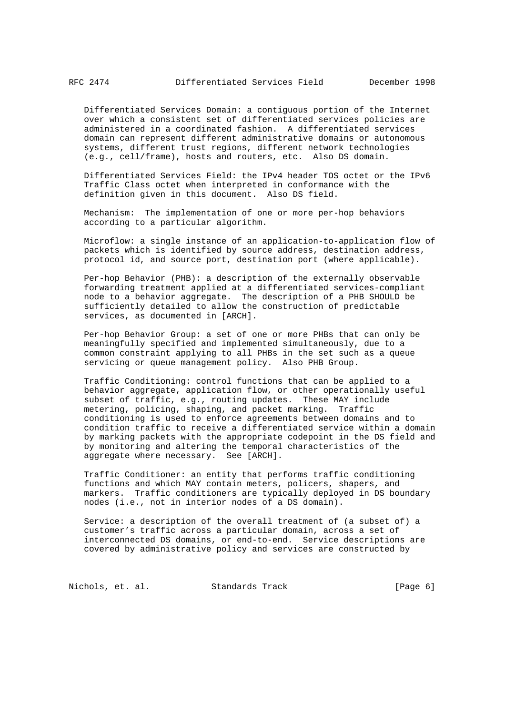Differentiated Services Domain: a contiguous portion of the Internet over which a consistent set of differentiated services policies are administered in a coordinated fashion. A differentiated services domain can represent different administrative domains or autonomous systems, different trust regions, different network technologies (e.g., cell/frame), hosts and routers, etc. Also DS domain.

 Differentiated Services Field: the IPv4 header TOS octet or the IPv6 Traffic Class octet when interpreted in conformance with the definition given in this document. Also DS field.

 Mechanism: The implementation of one or more per-hop behaviors according to a particular algorithm.

 Microflow: a single instance of an application-to-application flow of packets which is identified by source address, destination address, protocol id, and source port, destination port (where applicable).

 Per-hop Behavior (PHB): a description of the externally observable forwarding treatment applied at a differentiated services-compliant node to a behavior aggregate. The description of a PHB SHOULD be sufficiently detailed to allow the construction of predictable services, as documented in [ARCH].

 Per-hop Behavior Group: a set of one or more PHBs that can only be meaningfully specified and implemented simultaneously, due to a common constraint applying to all PHBs in the set such as a queue servicing or queue management policy. Also PHB Group.

 Traffic Conditioning: control functions that can be applied to a behavior aggregate, application flow, or other operationally useful subset of traffic, e.g., routing updates. These MAY include metering, policing, shaping, and packet marking. Traffic conditioning is used to enforce agreements between domains and to condition traffic to receive a differentiated service within a domain by marking packets with the appropriate codepoint in the DS field and by monitoring and altering the temporal characteristics of the aggregate where necessary. See [ARCH].

 Traffic Conditioner: an entity that performs traffic conditioning functions and which MAY contain meters, policers, shapers, and markers. Traffic conditioners are typically deployed in DS boundary nodes (i.e., not in interior nodes of a DS domain).

 Service: a description of the overall treatment of (a subset of) a customer's traffic across a particular domain, across a set of interconnected DS domains, or end-to-end. Service descriptions are covered by administrative policy and services are constructed by

Nichols, et. al. Standards Track [Page 6]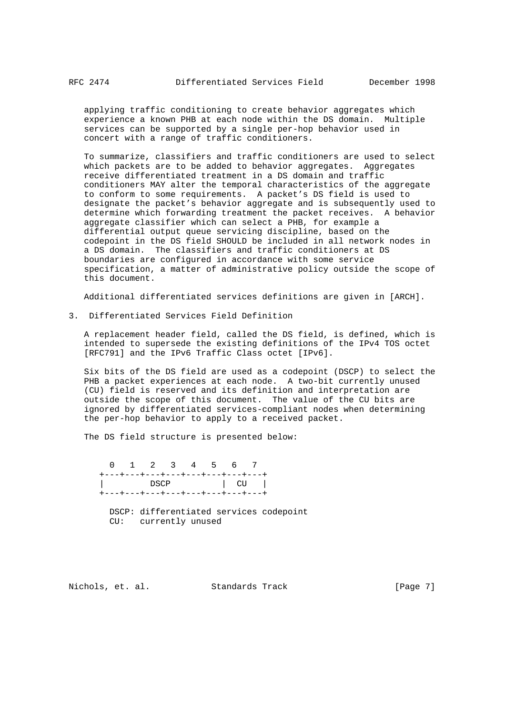applying traffic conditioning to create behavior aggregates which experience a known PHB at each node within the DS domain. Multiple services can be supported by a single per-hop behavior used in concert with a range of traffic conditioners.

 To summarize, classifiers and traffic conditioners are used to select which packets are to be added to behavior aggregates. Aggregates receive differentiated treatment in a DS domain and traffic conditioners MAY alter the temporal characteristics of the aggregate to conform to some requirements. A packet's DS field is used to designate the packet's behavior aggregate and is subsequently used to determine which forwarding treatment the packet receives. A behavior aggregate classifier which can select a PHB, for example a differential output queue servicing discipline, based on the codepoint in the DS field SHOULD be included in all network nodes in a DS domain. The classifiers and traffic conditioners at DS boundaries are configured in accordance with some service specification, a matter of administrative policy outside the scope of this document.

Additional differentiated services definitions are given in [ARCH].

3. Differentiated Services Field Definition

 A replacement header field, called the DS field, is defined, which is intended to supersede the existing definitions of the IPv4 TOS octet [RFC791] and the IPv6 Traffic Class octet [IPv6].

 Six bits of the DS field are used as a codepoint (DSCP) to select the PHB a packet experiences at each node. A two-bit currently unused (CU) field is reserved and its definition and interpretation are outside the scope of this document. The value of the CU bits are ignored by differentiated services-compliant nodes when determining the per-hop behavior to apply to a received packet.

The DS field structure is presented below:

 0 1 2 3 4 5 6 7 +---+---+---+---+---+---+---+---+ | DSCP | CU | +---+---+---+---+---+---+---+---+

> DSCP: differentiated services codepoint CU: currently unused

Nichols, et. al. Standards Track [Page 7]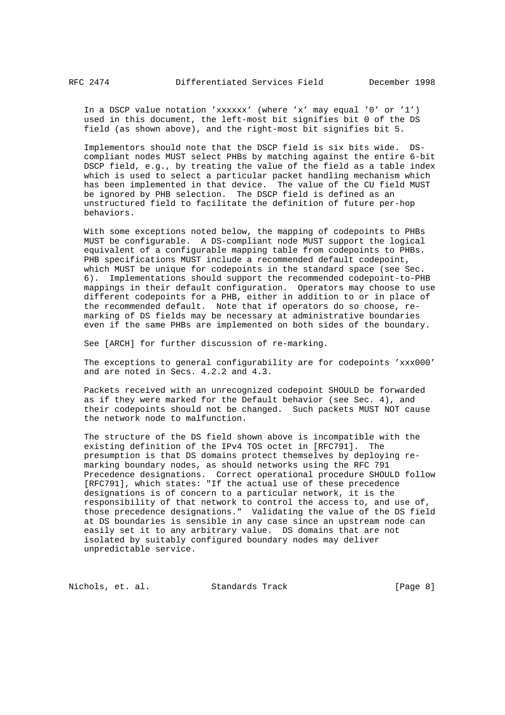In a DSCP value notation 'xxxxxx' (where 'x' may equal '0' or '1') used in this document, the left-most bit signifies bit 0 of the DS field (as shown above), and the right-most bit signifies bit 5.

 Implementors should note that the DSCP field is six bits wide. DS compliant nodes MUST select PHBs by matching against the entire 6-bit DSCP field, e.g., by treating the value of the field as a table index which is used to select a particular packet handling mechanism which has been implemented in that device. The value of the CU field MUST be ignored by PHB selection. The DSCP field is defined as an unstructured field to facilitate the definition of future per-hop behaviors.

 With some exceptions noted below, the mapping of codepoints to PHBs MUST be configurable. A DS-compliant node MUST support the logical equivalent of a configurable mapping table from codepoints to PHBs. PHB specifications MUST include a recommended default codepoint, which MUST be unique for codepoints in the standard space (see Sec. 6). Implementations should support the recommended codepoint-to-PHB mappings in their default configuration. Operators may choose to use different codepoints for a PHB, either in addition to or in place of the recommended default. Note that if operators do so choose, re marking of DS fields may be necessary at administrative boundaries even if the same PHBs are implemented on both sides of the boundary.

See [ARCH] for further discussion of re-marking.

 The exceptions to general configurability are for codepoints 'xxx000' and are noted in Secs. 4.2.2 and 4.3.

 Packets received with an unrecognized codepoint SHOULD be forwarded as if they were marked for the Default behavior (see Sec. 4), and their codepoints should not be changed. Such packets MUST NOT cause the network node to malfunction.

 The structure of the DS field shown above is incompatible with the existing definition of the IPv4 TOS octet in [RFC791]. The presumption is that DS domains protect themselves by deploying re marking boundary nodes, as should networks using the RFC 791 Precedence designations. Correct operational procedure SHOULD follow [RFC791], which states: "If the actual use of these precedence designations is of concern to a particular network, it is the responsibility of that network to control the access to, and use of, those precedence designations." Validating the value of the DS field at DS boundaries is sensible in any case since an upstream node can easily set it to any arbitrary value. DS domains that are not isolated by suitably configured boundary nodes may deliver unpredictable service.

Nichols, et. al. Standards Track [Page 8]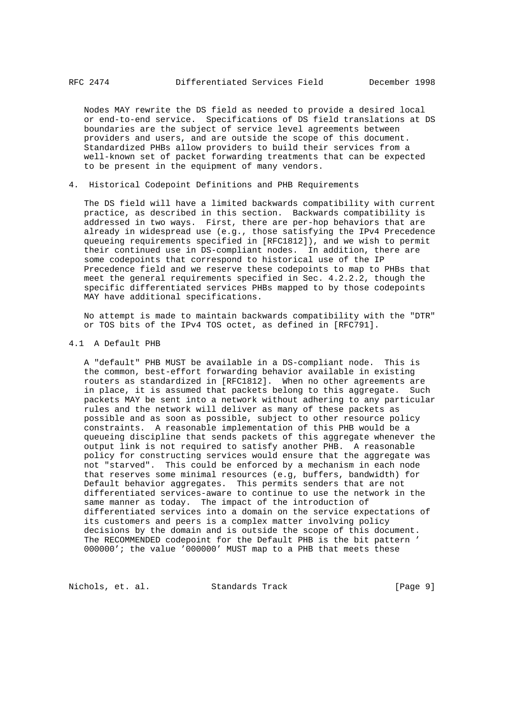Nodes MAY rewrite the DS field as needed to provide a desired local or end-to-end service. Specifications of DS field translations at DS boundaries are the subject of service level agreements between providers and users, and are outside the scope of this document. Standardized PHBs allow providers to build their services from a well-known set of packet forwarding treatments that can be expected to be present in the equipment of many vendors.

4. Historical Codepoint Definitions and PHB Requirements

 The DS field will have a limited backwards compatibility with current practice, as described in this section. Backwards compatibility is addressed in two ways. First, there are per-hop behaviors that are already in widespread use (e.g., those satisfying the IPv4 Precedence queueing requirements specified in [RFC1812]), and we wish to permit their continued use in DS-compliant nodes. In addition, there are some codepoints that correspond to historical use of the IP Precedence field and we reserve these codepoints to map to PHBs that meet the general requirements specified in Sec. 4.2.2.2, though the specific differentiated services PHBs mapped to by those codepoints MAY have additional specifications.

 No attempt is made to maintain backwards compatibility with the "DTR" or TOS bits of the IPv4 TOS octet, as defined in [RFC791].

4.1 A Default PHB

 A "default" PHB MUST be available in a DS-compliant node. This is the common, best-effort forwarding behavior available in existing routers as standardized in [RFC1812]. When no other agreements are in place, it is assumed that packets belong to this aggregate. Such packets MAY be sent into a network without adhering to any particular rules and the network will deliver as many of these packets as possible and as soon as possible, subject to other resource policy constraints. A reasonable implementation of this PHB would be a queueing discipline that sends packets of this aggregate whenever the output link is not required to satisfy another PHB. A reasonable policy for constructing services would ensure that the aggregate was not "starved". This could be enforced by a mechanism in each node that reserves some minimal resources (e.g, buffers, bandwidth) for Default behavior aggregates. This permits senders that are not differentiated services-aware to continue to use the network in the same manner as today. The impact of the introduction of differentiated services into a domain on the service expectations of its customers and peers is a complex matter involving policy decisions by the domain and is outside the scope of this document. The RECOMMENDED codepoint for the Default PHB is the bit pattern ' 000000'; the value '000000' MUST map to a PHB that meets these

Nichols, et. al. Standards Track [Page 9]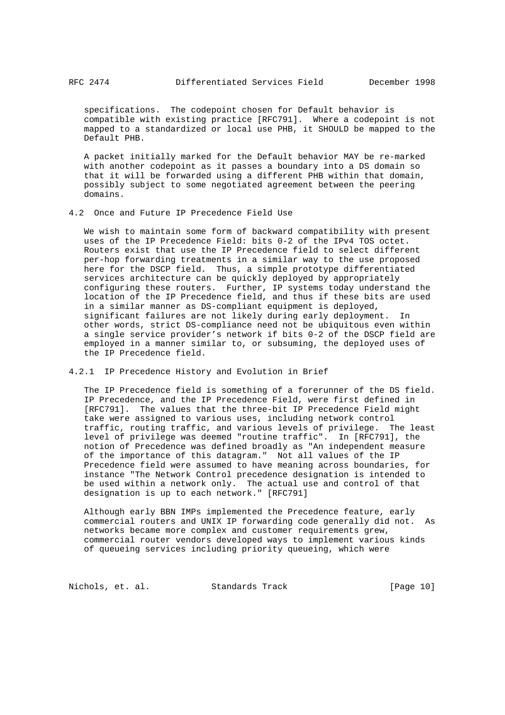specifications. The codepoint chosen for Default behavior is compatible with existing practice [RFC791]. Where a codepoint is not mapped to a standardized or local use PHB, it SHOULD be mapped to the Default PHB.

 A packet initially marked for the Default behavior MAY be re-marked with another codepoint as it passes a boundary into a DS domain so that it will be forwarded using a different PHB within that domain, possibly subject to some negotiated agreement between the peering domains.

4.2 Once and Future IP Precedence Field Use

 We wish to maintain some form of backward compatibility with present uses of the IP Precedence Field: bits 0-2 of the IPv4 TOS octet. Routers exist that use the IP Precedence field to select different per-hop forwarding treatments in a similar way to the use proposed here for the DSCP field. Thus, a simple prototype differentiated services architecture can be quickly deployed by appropriately configuring these routers. Further, IP systems today understand the location of the IP Precedence field, and thus if these bits are used in a similar manner as DS-compliant equipment is deployed, significant failures are not likely during early deployment. In other words, strict DS-compliance need not be ubiquitous even within a single service provider's network if bits 0-2 of the DSCP field are employed in a manner similar to, or subsuming, the deployed uses of the IP Precedence field.

4.2.1 IP Precedence History and Evolution in Brief

 The IP Precedence field is something of a forerunner of the DS field. IP Precedence, and the IP Precedence Field, were first defined in [RFC791]. The values that the three-bit IP Precedence Field might take were assigned to various uses, including network control traffic, routing traffic, and various levels of privilege. The least level of privilege was deemed "routine traffic". In [RFC791], the notion of Precedence was defined broadly as "An independent measure of the importance of this datagram." Not all values of the IP Precedence field were assumed to have meaning across boundaries, for instance "The Network Control precedence designation is intended to be used within a network only. The actual use and control of that designation is up to each network." [RFC791]

 Although early BBN IMPs implemented the Precedence feature, early commercial routers and UNIX IP forwarding code generally did not. As networks became more complex and customer requirements grew, commercial router vendors developed ways to implement various kinds of queueing services including priority queueing, which were

Nichols, et. al. Standards Track [Page 10]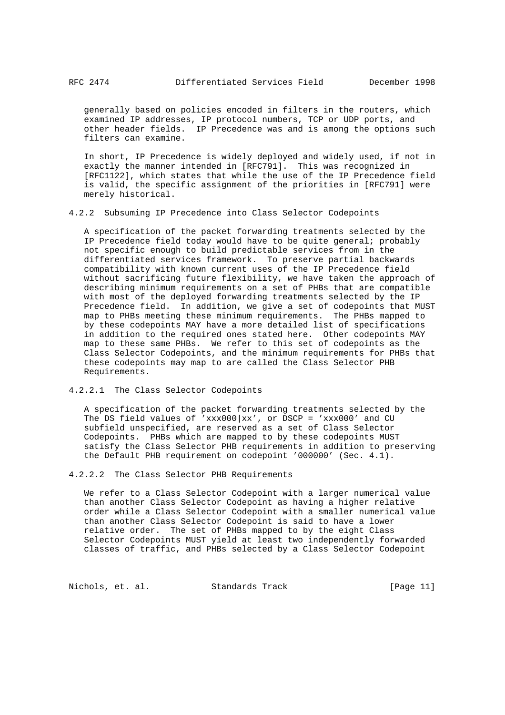generally based on policies encoded in filters in the routers, which examined IP addresses, IP protocol numbers, TCP or UDP ports, and other header fields. IP Precedence was and is among the options such filters can examine.

 In short, IP Precedence is widely deployed and widely used, if not in exactly the manner intended in [RFC791]. This was recognized in [RFC1122], which states that while the use of the IP Precedence field is valid, the specific assignment of the priorities in [RFC791] were merely historical.

4.2.2 Subsuming IP Precedence into Class Selector Codepoints

 A specification of the packet forwarding treatments selected by the IP Precedence field today would have to be quite general; probably not specific enough to build predictable services from in the differentiated services framework. To preserve partial backwards compatibility with known current uses of the IP Precedence field without sacrificing future flexibility, we have taken the approach of describing minimum requirements on a set of PHBs that are compatible with most of the deployed forwarding treatments selected by the IP Precedence field. In addition, we give a set of codepoints that MUST map to PHBs meeting these minimum requirements. The PHBs mapped to by these codepoints MAY have a more detailed list of specifications in addition to the required ones stated here. Other codepoints MAY map to these same PHBs. We refer to this set of codepoints as the Class Selector Codepoints, and the minimum requirements for PHBs that these codepoints may map to are called the Class Selector PHB Requirements.

## 4.2.2.1 The Class Selector Codepoints

 A specification of the packet forwarding treatments selected by the The DS field values of 'xxx000|xx', or DSCP = 'xxx000' and CU subfield unspecified, are reserved as a set of Class Selector Codepoints. PHBs which are mapped to by these codepoints MUST satisfy the Class Selector PHB requirements in addition to preserving the Default PHB requirement on codepoint '000000' (Sec. 4.1).

### 4.2.2.2 The Class Selector PHB Requirements

 We refer to a Class Selector Codepoint with a larger numerical value than another Class Selector Codepoint as having a higher relative order while a Class Selector Codepoint with a smaller numerical value than another Class Selector Codepoint is said to have a lower relative order. The set of PHBs mapped to by the eight Class Selector Codepoints MUST yield at least two independently forwarded classes of traffic, and PHBs selected by a Class Selector Codepoint

Nichols, et. al. Standards Track [Page 11]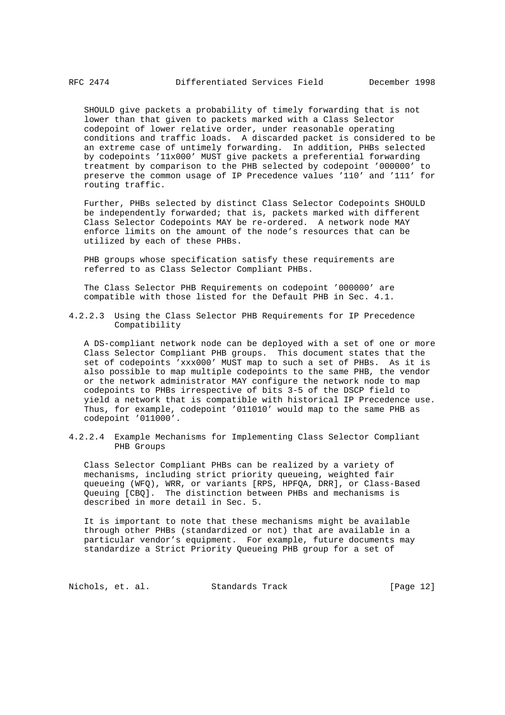SHOULD give packets a probability of timely forwarding that is not lower than that given to packets marked with a Class Selector codepoint of lower relative order, under reasonable operating conditions and traffic loads. A discarded packet is considered to be an extreme case of untimely forwarding. In addition, PHBs selected by codepoints '11x000' MUST give packets a preferential forwarding treatment by comparison to the PHB selected by codepoint '000000' to preserve the common usage of IP Precedence values '110' and '111' for routing traffic.

 Further, PHBs selected by distinct Class Selector Codepoints SHOULD be independently forwarded; that is, packets marked with different Class Selector Codepoints MAY be re-ordered. A network node MAY enforce limits on the amount of the node's resources that can be utilized by each of these PHBs.

 PHB groups whose specification satisfy these requirements are referred to as Class Selector Compliant PHBs.

 The Class Selector PHB Requirements on codepoint '000000' are compatible with those listed for the Default PHB in Sec. 4.1.

4.2.2.3 Using the Class Selector PHB Requirements for IP Precedence Compatibility

 A DS-compliant network node can be deployed with a set of one or more Class Selector Compliant PHB groups. This document states that the set of codepoints 'xxx000' MUST map to such a set of PHBs. As it is also possible to map multiple codepoints to the same PHB, the vendor or the network administrator MAY configure the network node to map codepoints to PHBs irrespective of bits 3-5 of the DSCP field to yield a network that is compatible with historical IP Precedence use. Thus, for example, codepoint '011010' would map to the same PHB as codepoint '011000'.

4.2.2.4 Example Mechanisms for Implementing Class Selector Compliant PHB Groups

 Class Selector Compliant PHBs can be realized by a variety of mechanisms, including strict priority queueing, weighted fair queueing (WFQ), WRR, or variants [RPS, HPFQA, DRR], or Class-Based Queuing [CBQ]. The distinction between PHBs and mechanisms is described in more detail in Sec. 5.

 It is important to note that these mechanisms might be available through other PHBs (standardized or not) that are available in a particular vendor's equipment. For example, future documents may standardize a Strict Priority Queueing PHB group for a set of

Nichols, et. al. Standards Track [Page 12]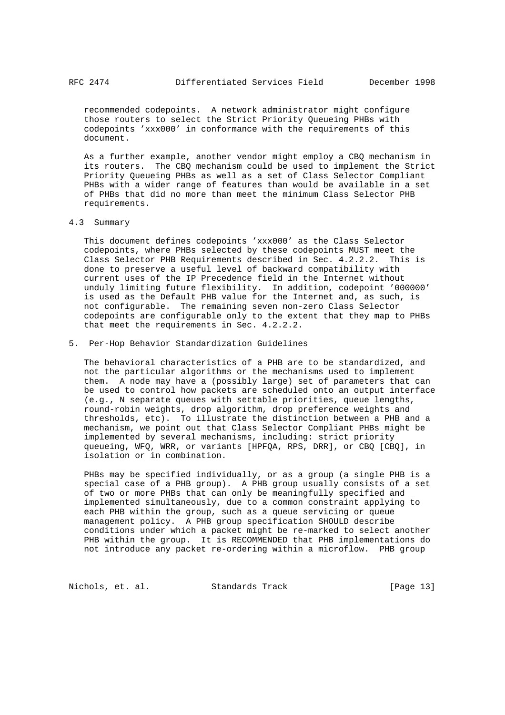recommended codepoints. A network administrator might configure those routers to select the Strict Priority Queueing PHBs with codepoints 'xxx000' in conformance with the requirements of this document.

 As a further example, another vendor might employ a CBQ mechanism in its routers. The CBQ mechanism could be used to implement the Strict Priority Queueing PHBs as well as a set of Class Selector Compliant PHBs with a wider range of features than would be available in a set of PHBs that did no more than meet the minimum Class Selector PHB requirements.

#### 4.3 Summary

 This document defines codepoints 'xxx000' as the Class Selector codepoints, where PHBs selected by these codepoints MUST meet the Class Selector PHB Requirements described in Sec. 4.2.2.2. This is done to preserve a useful level of backward compatibility with current uses of the IP Precedence field in the Internet without unduly limiting future flexibility. In addition, codepoint '000000' is used as the Default PHB value for the Internet and, as such, is not configurable. The remaining seven non-zero Class Selector codepoints are configurable only to the extent that they map to PHBs that meet the requirements in Sec. 4.2.2.2.

## 5. Per-Hop Behavior Standardization Guidelines

 The behavioral characteristics of a PHB are to be standardized, and not the particular algorithms or the mechanisms used to implement them. A node may have a (possibly large) set of parameters that can be used to control how packets are scheduled onto an output interface (e.g., N separate queues with settable priorities, queue lengths, round-robin weights, drop algorithm, drop preference weights and thresholds, etc). To illustrate the distinction between a PHB and a mechanism, we point out that Class Selector Compliant PHBs might be implemented by several mechanisms, including: strict priority queueing, WFQ, WRR, or variants [HPFQA, RPS, DRR], or CBQ [CBQ], in isolation or in combination.

 PHBs may be specified individually, or as a group (a single PHB is a special case of a PHB group). A PHB group usually consists of a set of two or more PHBs that can only be meaningfully specified and implemented simultaneously, due to a common constraint applying to each PHB within the group, such as a queue servicing or queue management policy. A PHB group specification SHOULD describe conditions under which a packet might be re-marked to select another PHB within the group. It is RECOMMENDED that PHB implementations do not introduce any packet re-ordering within a microflow. PHB group

Nichols, et. al. Standards Track [Page 13]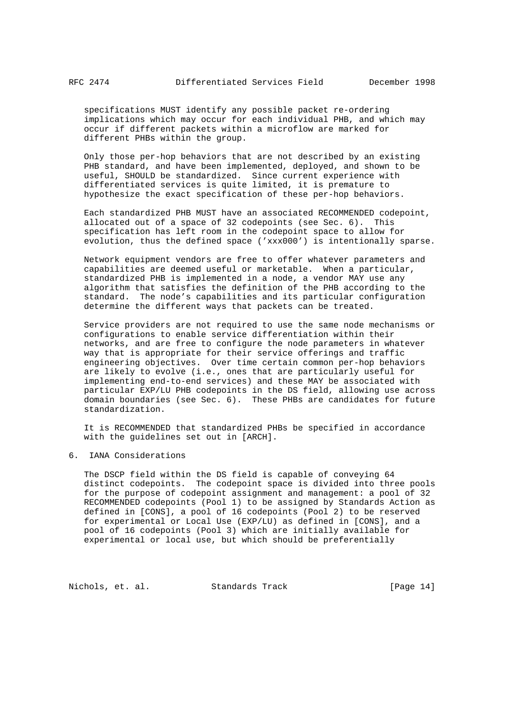specifications MUST identify any possible packet re-ordering implications which may occur for each individual PHB, and which may occur if different packets within a microflow are marked for different PHBs within the group.

 Only those per-hop behaviors that are not described by an existing PHB standard, and have been implemented, deployed, and shown to be useful, SHOULD be standardized. Since current experience with differentiated services is quite limited, it is premature to hypothesize the exact specification of these per-hop behaviors.

 Each standardized PHB MUST have an associated RECOMMENDED codepoint, allocated out of a space of 32 codepoints (see Sec. 6). This specification has left room in the codepoint space to allow for evolution, thus the defined space ('xxx000') is intentionally sparse.

 Network equipment vendors are free to offer whatever parameters and capabilities are deemed useful or marketable. When a particular, standardized PHB is implemented in a node, a vendor MAY use any algorithm that satisfies the definition of the PHB according to the standard. The node's capabilities and its particular configuration determine the different ways that packets can be treated.

 Service providers are not required to use the same node mechanisms or configurations to enable service differentiation within their networks, and are free to configure the node parameters in whatever way that is appropriate for their service offerings and traffic engineering objectives. Over time certain common per-hop behaviors are likely to evolve (i.e., ones that are particularly useful for implementing end-to-end services) and these MAY be associated with particular EXP/LU PHB codepoints in the DS field, allowing use across domain boundaries (see Sec. 6). These PHBs are candidates for future standardization.

 It is RECOMMENDED that standardized PHBs be specified in accordance with the guidelines set out in [ARCH].

6. IANA Considerations

 The DSCP field within the DS field is capable of conveying 64 distinct codepoints. The codepoint space is divided into three pools for the purpose of codepoint assignment and management: a pool of 32 RECOMMENDED codepoints (Pool 1) to be assigned by Standards Action as defined in [CONS], a pool of 16 codepoints (Pool 2) to be reserved for experimental or Local Use (EXP/LU) as defined in [CONS], and a pool of 16 codepoints (Pool 3) which are initially available for experimental or local use, but which should be preferentially

Nichols, et. al. Standards Track [Page 14]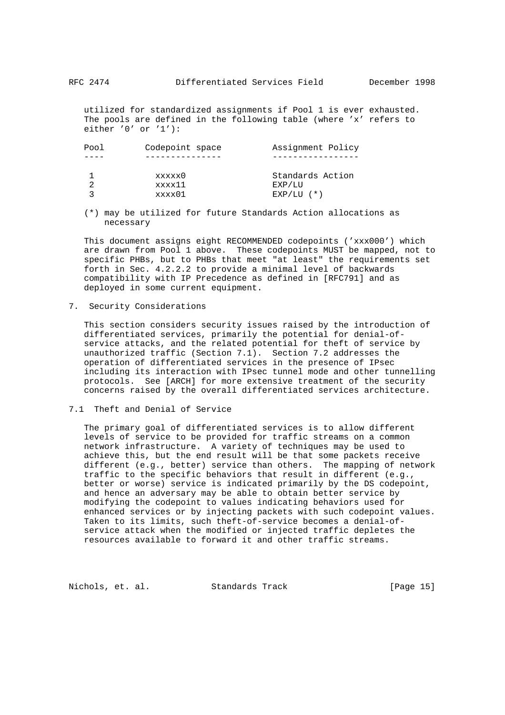utilized for standardized assignments if Pool 1 is ever exhausted. The pools are defined in the following table (where 'x' refers to either '0' or '1'):

| Pool | Codepoint space | Assignment Policy |
|------|-----------------|-------------------|
|      |                 |                   |
|      | xxxxx0          | Standards Action  |
|      | xxxx11          | EXP/LU            |
|      | xxxx01          | $EXP/LU$ $(*)$    |
|      |                 |                   |

 (\*) may be utilized for future Standards Action allocations as necessary

 This document assigns eight RECOMMENDED codepoints ('xxx000') which are drawn from Pool 1 above. These codepoints MUST be mapped, not to specific PHBs, but to PHBs that meet "at least" the requirements set forth in Sec. 4.2.2.2 to provide a minimal level of backwards compatibility with IP Precedence as defined in [RFC791] and as deployed in some current equipment.

7. Security Considerations

 This section considers security issues raised by the introduction of differentiated services, primarily the potential for denial-of service attacks, and the related potential for theft of service by unauthorized traffic (Section 7.1). Section 7.2 addresses the operation of differentiated services in the presence of IPsec including its interaction with IPsec tunnel mode and other tunnelling protocols. See [ARCH] for more extensive treatment of the security concerns raised by the overall differentiated services architecture.

### 7.1 Theft and Denial of Service

 The primary goal of differentiated services is to allow different levels of service to be provided for traffic streams on a common network infrastructure. A variety of techniques may be used to achieve this, but the end result will be that some packets receive different (e.g., better) service than others. The mapping of network traffic to the specific behaviors that result in different (e.g., better or worse) service is indicated primarily by the DS codepoint, and hence an adversary may be able to obtain better service by modifying the codepoint to values indicating behaviors used for enhanced services or by injecting packets with such codepoint values. Taken to its limits, such theft-of-service becomes a denial-of service attack when the modified or injected traffic depletes the resources available to forward it and other traffic streams.

Nichols, et. al. Standards Track [Page 15]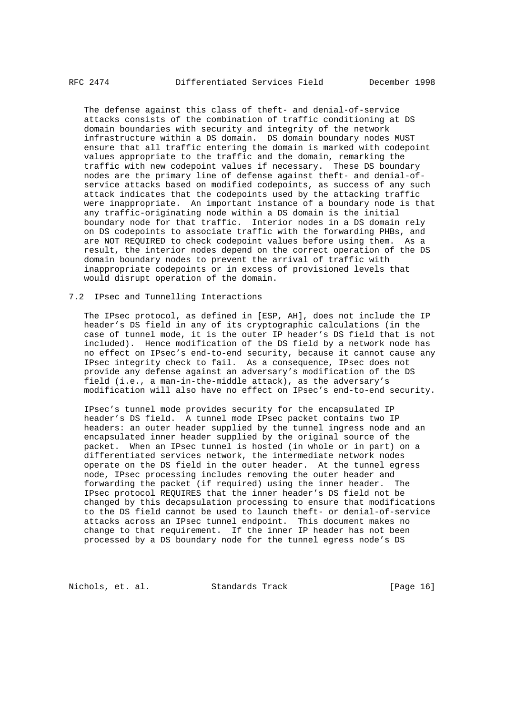The defense against this class of theft- and denial-of-service attacks consists of the combination of traffic conditioning at DS domain boundaries with security and integrity of the network infrastructure within a DS domain. DS domain boundary nodes MUST ensure that all traffic entering the domain is marked with codepoint values appropriate to the traffic and the domain, remarking the traffic with new codepoint values if necessary. These DS boundary nodes are the primary line of defense against theft- and denial-of service attacks based on modified codepoints, as success of any such attack indicates that the codepoints used by the attacking traffic were inappropriate. An important instance of a boundary node is that any traffic-originating node within a DS domain is the initial boundary node for that traffic. Interior nodes in a DS domain rely on DS codepoints to associate traffic with the forwarding PHBs, and are NOT REQUIRED to check codepoint values before using them. As a result, the interior nodes depend on the correct operation of the DS domain boundary nodes to prevent the arrival of traffic with inappropriate codepoints or in excess of provisioned levels that would disrupt operation of the domain.

#### 7.2 IPsec and Tunnelling Interactions

 The IPsec protocol, as defined in [ESP, AH], does not include the IP header's DS field in any of its cryptographic calculations (in the case of tunnel mode, it is the outer IP header's DS field that is not included). Hence modification of the DS field by a network node has no effect on IPsec's end-to-end security, because it cannot cause any IPsec integrity check to fail. As a consequence, IPsec does not provide any defense against an adversary's modification of the DS field (i.e., a man-in-the-middle attack), as the adversary's modification will also have no effect on IPsec's end-to-end security.

 IPsec's tunnel mode provides security for the encapsulated IP header's DS field. A tunnel mode IPsec packet contains two IP headers: an outer header supplied by the tunnel ingress node and an encapsulated inner header supplied by the original source of the packet. When an IPsec tunnel is hosted (in whole or in part) on a differentiated services network, the intermediate network nodes operate on the DS field in the outer header. At the tunnel egress node, IPsec processing includes removing the outer header and forwarding the packet (if required) using the inner header. The IPsec protocol REQUIRES that the inner header's DS field not be changed by this decapsulation processing to ensure that modifications to the DS field cannot be used to launch theft- or denial-of-service attacks across an IPsec tunnel endpoint. This document makes no change to that requirement. If the inner IP header has not been processed by a DS boundary node for the tunnel egress node's DS

Nichols, et. al. Standards Track [Page 16]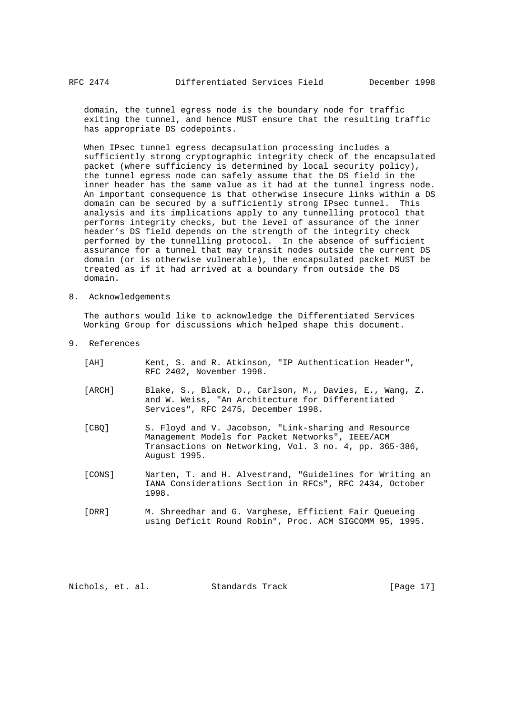domain, the tunnel egress node is the boundary node for traffic exiting the tunnel, and hence MUST ensure that the resulting traffic has appropriate DS codepoints.

 When IPsec tunnel egress decapsulation processing includes a sufficiently strong cryptographic integrity check of the encapsulated packet (where sufficiency is determined by local security policy), the tunnel egress node can safely assume that the DS field in the inner header has the same value as it had at the tunnel ingress node. An important consequence is that otherwise insecure links within a DS domain can be secured by a sufficiently strong IPsec tunnel. This analysis and its implications apply to any tunnelling protocol that performs integrity checks, but the level of assurance of the inner header's DS field depends on the strength of the integrity check performed by the tunnelling protocol. In the absence of sufficient assurance for a tunnel that may transit nodes outside the current DS domain (or is otherwise vulnerable), the encapsulated packet MUST be treated as if it had arrived at a boundary from outside the DS domain.

8. Acknowledgements

 The authors would like to acknowledge the Differentiated Services Working Group for discussions which helped shape this document.

- 9. References
	- [AH] Kent, S. and R. Atkinson, "IP Authentication Header", RFC 2402, November 1998.
	- [ARCH] Blake, S., Black, D., Carlson, M., Davies, E., Wang, Z. and W. Weiss, "An Architecture for Differentiated Services", RFC 2475, December 1998.
	- [CBQ] S. Floyd and V. Jacobson, "Link-sharing and Resource Management Models for Packet Networks", IEEE/ACM Transactions on Networking, Vol. 3 no. 4, pp. 365-386, August 1995.
	- [CONS] Narten, T. and H. Alvestrand, "Guidelines for Writing an IANA Considerations Section in RFCs", RFC 2434, October 1998.
	- [DRR] M. Shreedhar and G. Varghese, Efficient Fair Queueing using Deficit Round Robin", Proc. ACM SIGCOMM 95, 1995.

Nichols, et. al. Standards Track [Page 17]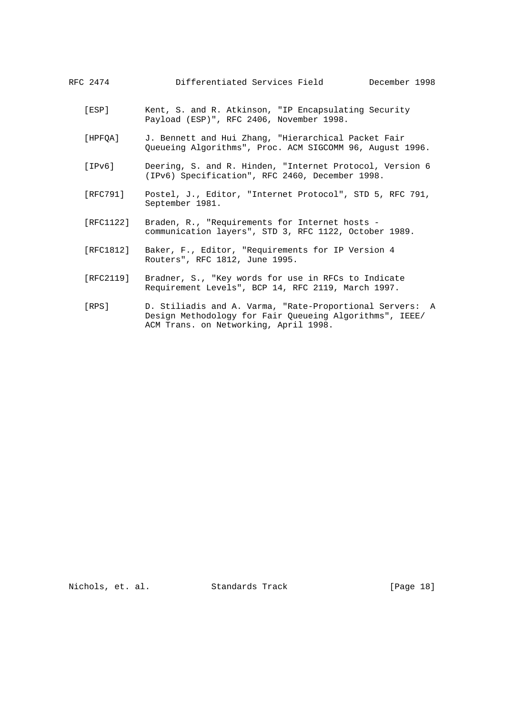# RFC 2474 Differentiated Services Field December 1998

- [ESP] Kent, S. and R. Atkinson, "IP Encapsulating Security Payload (ESP)", RFC 2406, November 1998.
- [HPFQA] J. Bennett and Hui Zhang, "Hierarchical Packet Fair Queueing Algorithms", Proc. ACM SIGCOMM 96, August 1996.
- [IPv6] Deering, S. and R. Hinden, "Internet Protocol, Version 6 (IPv6) Specification", RFC 2460, December 1998.
- [RFC791] Postel, J., Editor, "Internet Protocol", STD 5, RFC 791, September 1981.
- [RFC1122] Braden, R., "Requirements for Internet hosts communication layers", STD 3, RFC 1122, October 1989.
- [RFC1812] Baker, F., Editor, "Requirements for IP Version 4 Routers", RFC 1812, June 1995.
- [RFC2119] Bradner, S., "Key words for use in RFCs to Indicate Requirement Levels", BCP 14, RFC 2119, March 1997.
- [RPS] D. Stiliadis and A. Varma, "Rate-Proportional Servers: A Design Methodology for Fair Queueing Algorithms", IEEE/ ACM Trans. on Networking, April 1998.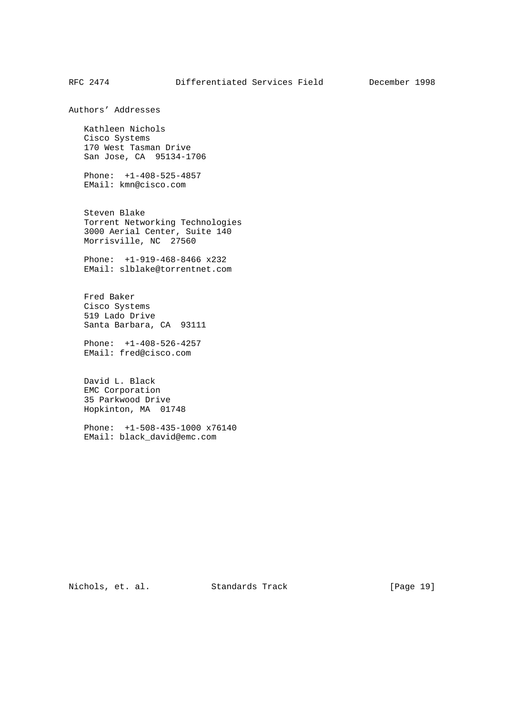Authors' Addresses

 Kathleen Nichols Cisco Systems 170 West Tasman Drive San Jose, CA 95134-1706

 Phone: +1-408-525-4857 EMail: kmn@cisco.com

 Steven Blake Torrent Networking Technologies 3000 Aerial Center, Suite 140 Morrisville, NC 27560

 Phone: +1-919-468-8466 x232 EMail: slblake@torrentnet.com

 Fred Baker Cisco Systems 519 Lado Drive Santa Barbara, CA 93111

 Phone: +1-408-526-4257 EMail: fred@cisco.com

 David L. Black EMC Corporation 35 Parkwood Drive Hopkinton, MA 01748

 Phone: +1-508-435-1000 x76140 EMail: black\_david@emc.com

Nichols, et. al. Standards Track [Page 19]